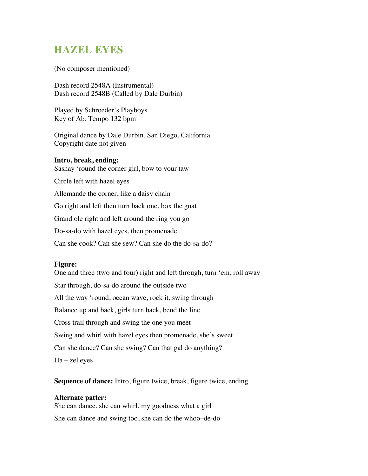## **HAZEL EYES**

(No composer mentioned)

Dash record 2548A (Instrumental) Dash record 2548B (Called by Dale Durbin)

Played by Schroeder's Playboys Key of Ab, Tempo 132 bpm

Original dance by Dale Durbin, San Diego, California Copyright date not given

## **Intro, break, ending:**

Sashay 'round the corner girl, bow to your taw

Circle left with hazel eyes

Allemande the corner, like a daisy chain

Go right and left then turn back one, box the gnat

Grand ole right and left around the ring you go

Do-sa-do with hazel eyes, then promenade

Can she cook? Can she sew? Can she do the do-sa-do?

## **Figure:**

One and three (two and four) right and left through, turn 'em, roll away Star through, do-sa-do around the outside two All the way 'round, ocean wave, rock it, swing through Balance up and back, girls turn back, bend the line Cross trail through and swing the one you meet Swing and whirl with hazel eyes then promenade, she's sweet Can she dance? Can she swing? Can that gal do anything? Ha – zel eyes

**Sequence of dance:** Intro, figure twice, break, figure twice, ending

## **Alternate patter:**

She can dance, she can whirl, my goodness what a girl She can dance and swing too, she can do the whoo–de-do